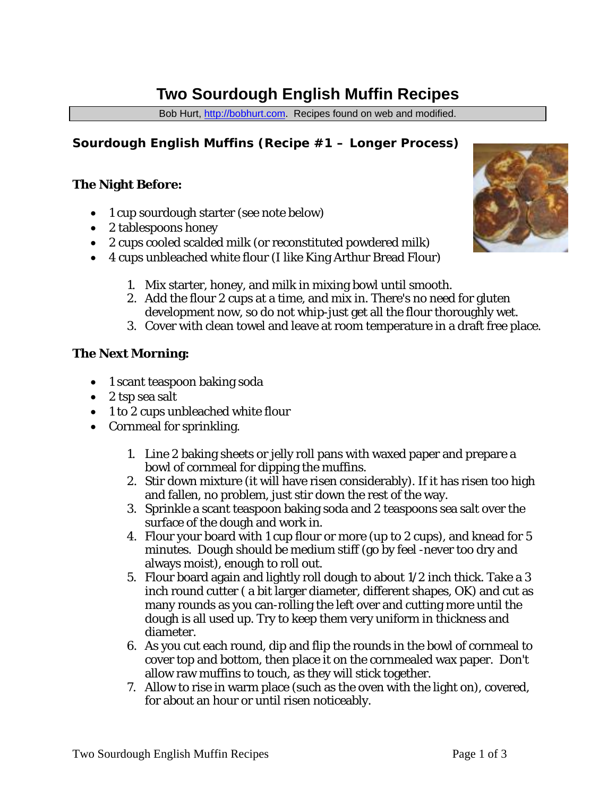# **Two Sourdough English Muffin Recipes**

Bob Hurt, [http://bobhurt.com.](http://bobhurt.com/) Recipes found on web and modified.

# **Sourdough English Muffins (Recipe #1 – Longer Process)**

## **The Night Before:**

- 1 cup sourdough starter (see note below)
- 2 tablespoons honey
- 2 cups cooled scalded milk (or reconstituted powdered milk)
- 4 cups unbleached white flour (I like King Arthur Bread Flour)
	- 1. Mix starter, honey, and milk in mixing bowl until smooth.
	- 2. Add the flour 2 cups at a time, and mix in. There's no need for gluten development now, so do not whip-just get all the flour thoroughly wet.
	- 3. Cover with clean towel and leave at room temperature in a draft free place.

#### **The Next Morning:**

- 1 scant teaspoon baking soda
- 2 tsp sea salt
- 1 to 2 cups unbleached white flour
- Cornmeal for sprinkling.
	- 1. Line 2 baking sheets or jelly roll pans with waxed paper and prepare a bowl of cornmeal for dipping the muffins.
	- 2. Stir down mixture (it will have risen considerably). If it has risen too high and fallen, no problem, just stir down the rest of the way.
	- 3. Sprinkle a scant teaspoon baking soda and 2 teaspoons sea salt over the surface of the dough and work in.
	- 4. Flour your board with 1 cup flour or more (up to 2 cups), and knead for 5 minutes. Dough should be medium stiff (go by feel -never too dry and always moist), enough to roll out.
	- 5. Flour board again and lightly roll dough to about 1/2 inch thick. Take a 3 inch round cutter ( a bit larger diameter, different shapes, OK) and cut as many rounds as you can-rolling the left over and cutting more until the dough is all used up. Try to keep them very uniform in thickness and diameter.
	- 6. As you cut each round, dip and flip the rounds in the bowl of cornmeal to cover top and bottom, then place it on the cornmealed wax paper. Don't allow raw muffins to touch, as they will stick together.
	- 7. Allow to rise in warm place (such as the oven with the light on), covered, for about an hour or until risen noticeably.

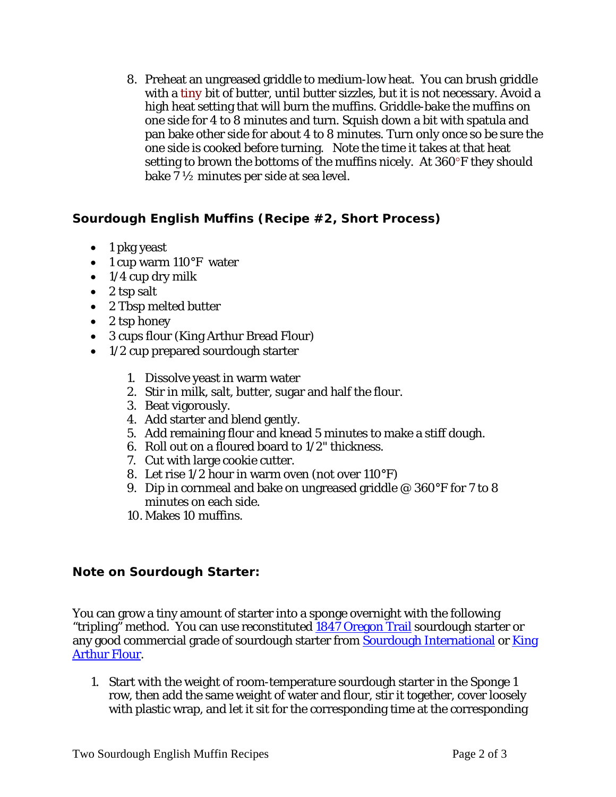8. Preheat an ungreased griddle to medium-low heat. You can brush griddle with a *tiny* bit of butter, until butter sizzles, but it is not necessary. Avoid a high heat setting that will burn the muffins. Griddle-bake the muffins on one side for 4 to 8 minutes and turn. Squish down a bit with spatula and pan bake other side for about 4 to 8 minutes. Turn only once so be sure the one side is cooked before turning. Note the time it takes at that heat setting to brown the bottoms of the muffins nicely. At 360°F they should bake 7 ½ minutes per side at sea level.

# **Sourdough English Muffins (Recipe #2, Short Process)**

- 1 pkg yeast
- 1 cup warm 110°F water
- $\bullet$  1/4 cup dry milk
- 2 tsp salt
- 2 Tbsp melted butter
- 2 tsp honey
- 3 cups flour (King Arthur Bread Flour)
- 1/2 cup prepared sourdough starter
	- 1. Dissolve yeast in warm water
	- 2. Stir in milk, salt, butter, sugar and half the flour.
	- 3. Beat vigorously.
	- 4. Add starter and blend gently.
	- 5. Add remaining flour and knead 5 minutes to make a stiff dough.
	- 6. Roll out on a floured board to 1/2" thickness.
	- 7. Cut with large cookie cutter.
	- 8. Let rise 1/2 hour in warm oven (not over 110°F)
	- 9. Dip in cornmeal and bake on ungreased griddle @ 360°F for 7 to 8 minutes on each side.
	- 10. Makes 10 muffins.

## **Note on Sourdough Starter:**

You can grow a tiny amount of starter into a sponge overnight with the following "tripling" method. You can use reconstituted [1847 Oregon Trail](http://carlsfriends.org/) sourdough starter or any good commercial grade of sourdough starter from [Sourdough International](http://www.sourdo.com/) or King [Arthur Flour.](http://kingarthurflour.com/)

1. Start with the weight of room-temperature sourdough starter in the Sponge 1 row, then add the same weight of water and flour, stir it together, cover loosely with plastic wrap, and let it sit for the corresponding time at the corresponding